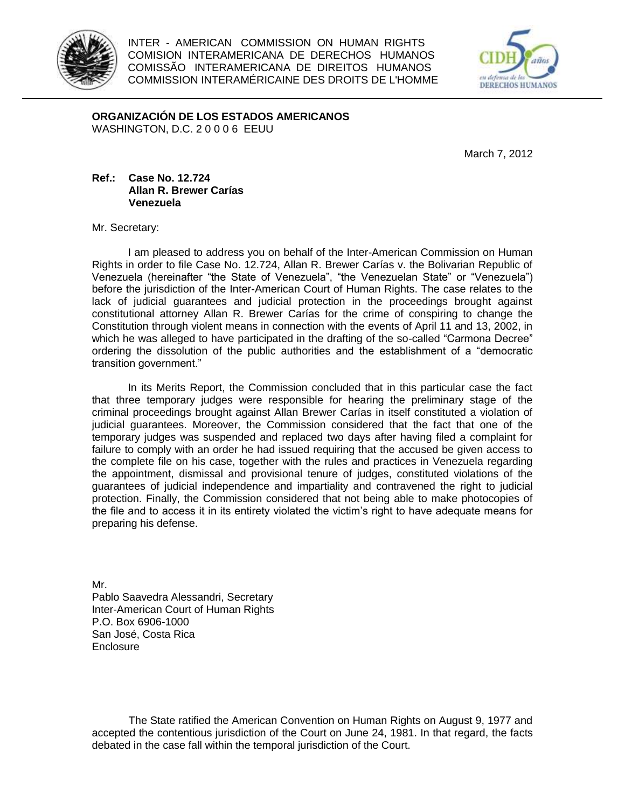

INTER - AMERICAN COMMISSION ON HUMAN RIGHTS COMISION INTERAMERICANA DE DERECHOS HUMANOS COMISSÃO INTERAMERICANA DE DIREITOS HUMANOS COMMISSION INTERAMÉRICAINE DES DROITS DE L'HOMME



**ORGANIZACIÓN DE LOS ESTADOS AMERICANOS** WASHINGTON, D.C. 2 0 0 0 6 EEUU

March 7, 2012

## **Ref.: Case No. 12.724 Allan R. Brewer Carías Venezuela**

Mr. Secretary:

I am pleased to address you on behalf of the Inter-American Commission on Human Rights in order to file Case No. 12.724, Allan R. Brewer Carías v. the Bolivarian Republic of Venezuela (hereinafter "the State of Venezuela", "the Venezuelan State" or "Venezuela") before the jurisdiction of the Inter-American Court of Human Rights. The case relates to the lack of judicial guarantees and judicial protection in the proceedings brought against constitutional attorney Allan R. Brewer Carías for the crime of conspiring to change the Constitution through violent means in connection with the events of April 11 and 13, 2002, in which he was alleged to have participated in the drafting of the so-called "Carmona Decree" ordering the dissolution of the public authorities and the establishment of a "democratic transition government."

In its Merits Report, the Commission concluded that in this particular case the fact that three temporary judges were responsible for hearing the preliminary stage of the criminal proceedings brought against Allan Brewer Carías in itself constituted a violation of judicial guarantees. Moreover, the Commission considered that the fact that one of the temporary judges was suspended and replaced two days after having filed a complaint for failure to comply with an order he had issued requiring that the accused be given access to the complete file on his case, together with the rules and practices in Venezuela regarding the appointment, dismissal and provisional tenure of judges, constituted violations of the guarantees of judicial independence and impartiality and contravened the right to judicial protection. Finally, the Commission considered that not being able to make photocopies of the file and to access it in its entirety violated the victim's right to have adequate means for preparing his defense.

Mr. Pablo Saavedra Alessandri, Secretary Inter-American Court of Human Rights P.O. Box 6906-1000 San José, Costa Rica Enclosure

The State ratified the American Convention on Human Rights on August 9, 1977 and accepted the contentious jurisdiction of the Court on June 24, 1981. In that regard, the facts debated in the case fall within the temporal jurisdiction of the Court.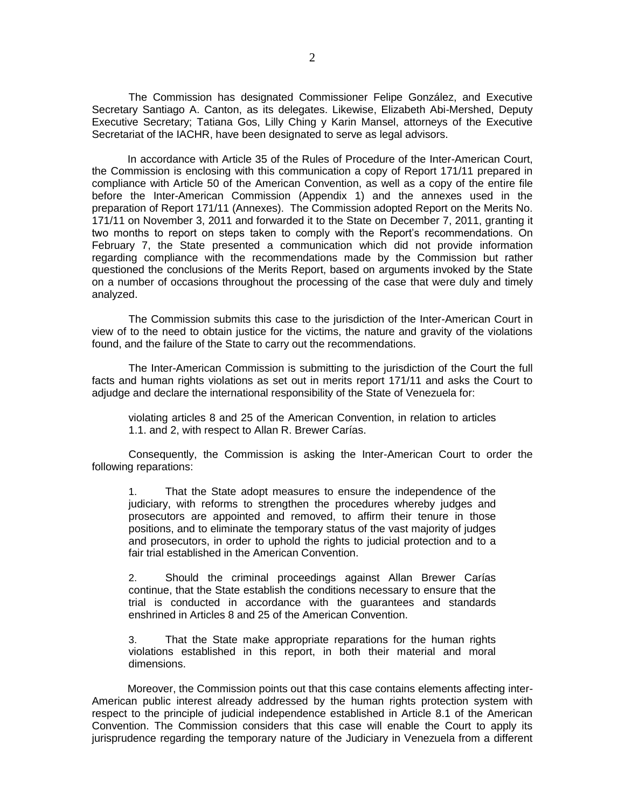The Commission has designated Commissioner Felipe González, and Executive Secretary Santiago A. Canton, as its delegates. Likewise, Elizabeth Abi-Mershed, Deputy Executive Secretary; Tatiana Gos, Lilly Ching y Karin Mansel, attorneys of the Executive Secretariat of the IACHR, have been designated to serve as legal advisors.

In accordance with Article 35 of the Rules of Procedure of the Inter-American Court, the Commission is enclosing with this communication a copy of Report 171/11 prepared in compliance with Article 50 of the American Convention, as well as a copy of the entire file before the Inter-American Commission (Appendix 1) and the annexes used in the preparation of Report 171/11 (Annexes). The Commission adopted Report on the Merits No. 171/11 on November 3, 2011 and forwarded it to the State on December 7, 2011, granting it two months to report on steps taken to comply with the Report's recommendations. On February 7, the State presented a communication which did not provide information regarding compliance with the recommendations made by the Commission but rather questioned the conclusions of the Merits Report, based on arguments invoked by the State on a number of occasions throughout the processing of the case that were duly and timely analyzed.

The Commission submits this case to the jurisdiction of the Inter-American Court in view of to the need to obtain justice for the victims, the nature and gravity of the violations found, and the failure of the State to carry out the recommendations.

The Inter-American Commission is submitting to the jurisdiction of the Court the full facts and human rights violations as set out in merits report 171/11 and asks the Court to adjudge and declare the international responsibility of the State of Venezuela for:

violating articles 8 and 25 of the American Convention, in relation to articles 1.1. and 2, with respect to Allan R. Brewer Carías.

Consequently, the Commission is asking the Inter-American Court to order the following reparations:

1. That the State adopt measures to ensure the independence of the judiciary, with reforms to strengthen the procedures whereby judges and prosecutors are appointed and removed, to affirm their tenure in those positions, and to eliminate the temporary status of the vast majority of judges and prosecutors, in order to uphold the rights to judicial protection and to a fair trial established in the American Convention.

2. Should the criminal proceedings against Allan Brewer Carías continue, that the State establish the conditions necessary to ensure that the trial is conducted in accordance with the guarantees and standards enshrined in Articles 8 and 25 of the American Convention.

3. That the State make appropriate reparations for the human rights violations established in this report, in both their material and moral dimensions.

Moreover, the Commission points out that this case contains elements affecting inter-American public interest already addressed by the human rights protection system with respect to the principle of judicial independence established in Article 8.1 of the American Convention. The Commission considers that this case will enable the Court to apply its jurisprudence regarding the temporary nature of the Judiciary in Venezuela from a different